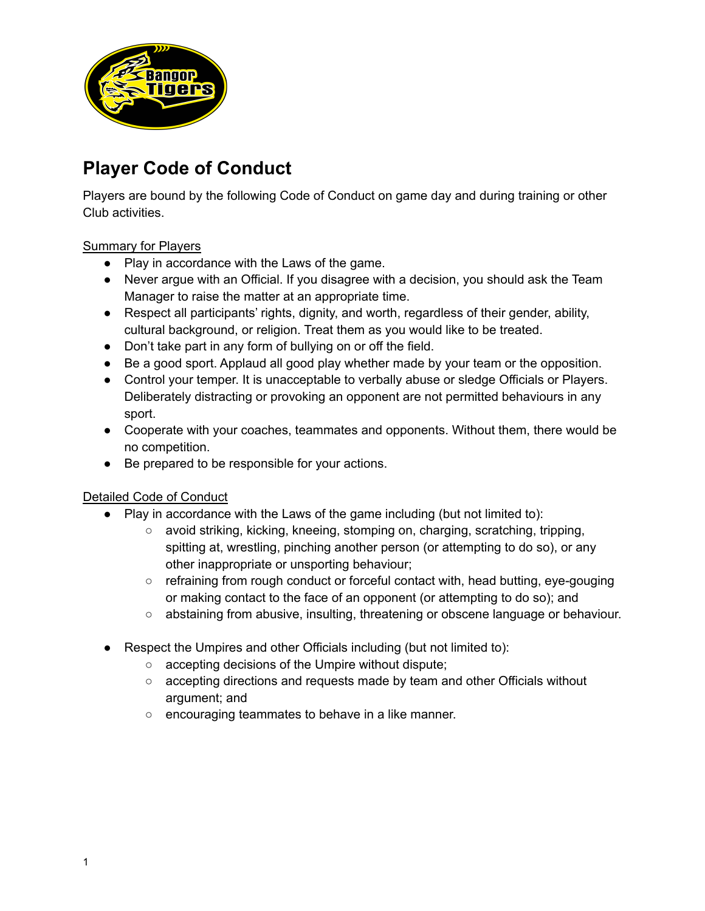

# **Player Code of Conduct**

Players are bound by the following Code of Conduct on game day and during training or other Club activities.

### Summary for Players

- Play in accordance with the Laws of the game.
- Never argue with an Official. If you disagree with a decision, you should ask the Team Manager to raise the matter at an appropriate time.
- Respect all participants' rights, dignity, and worth, regardless of their gender, ability, cultural background, or religion. Treat them as you would like to be treated.
- Don't take part in any form of bullying on or off the field.
- Be a good sport. Applaud all good play whether made by your team or the opposition.
- Control your temper. It is unacceptable to verbally abuse or sledge Officials or Players. Deliberately distracting or provoking an opponent are not permitted behaviours in any sport.
- Cooperate with your coaches, teammates and opponents. Without them, there would be no competition.
- Be prepared to be responsible for your actions.

### Detailed Code of Conduct

- Play in accordance with the Laws of the game including (but not limited to):
	- avoid striking, kicking, kneeing, stomping on, charging, scratching, tripping, spitting at, wrestling, pinching another person (or attempting to do so), or any other inappropriate or unsporting behaviour;
	- refraining from rough conduct or forceful contact with, head butting, eye-gouging or making contact to the face of an opponent (or attempting to do so); and
	- abstaining from abusive, insulting, threatening or obscene language or behaviour.
- Respect the Umpires and other Officials including (but not limited to):
	- accepting decisions of the Umpire without dispute;
	- accepting directions and requests made by team and other Officials without argument; and
	- encouraging teammates to behave in a like manner.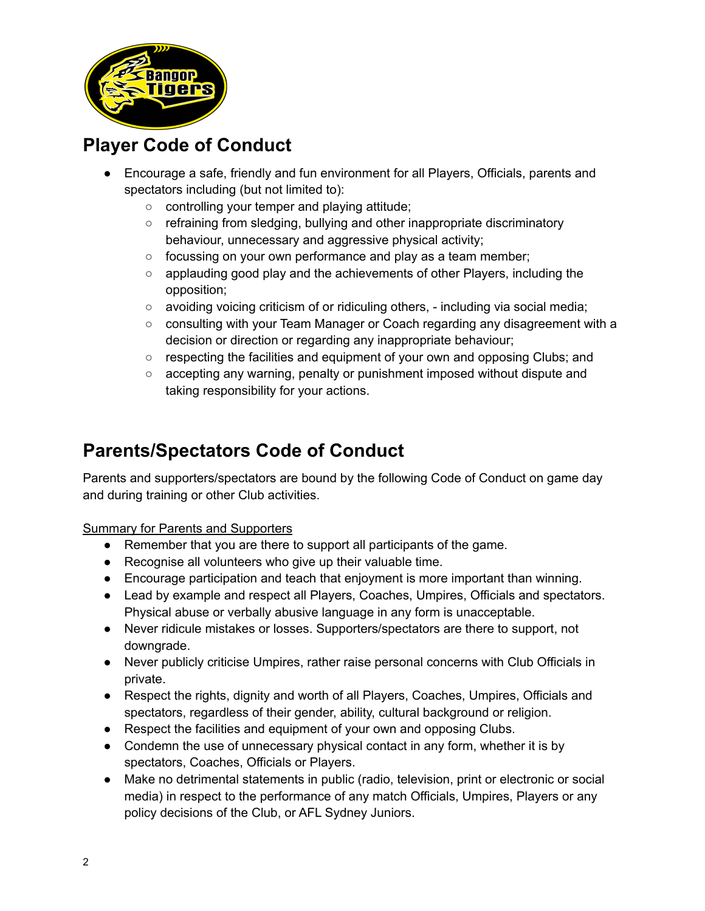

# **Player Code of Conduct**

- Encourage a safe, friendly and fun environment for all Players, Officials, parents and spectators including (but not limited to):
	- controlling your temper and playing attitude;
	- refraining from sledging, bullying and other inappropriate discriminatory behaviour, unnecessary and aggressive physical activity;
	- focussing on your own performance and play as a team member;
	- applauding good play and the achievements of other Players, including the opposition;
	- $\circ$  avoiding voicing criticism of or ridiculing others, including via social media;
	- $\circ$  consulting with your Team Manager or Coach regarding any disagreement with a decision or direction or regarding any inappropriate behaviour;
	- respecting the facilities and equipment of your own and opposing Clubs; and
	- accepting any warning, penalty or punishment imposed without dispute and taking responsibility for your actions.

# **Parents/Spectators Code of Conduct**

Parents and supporters/spectators are bound by the following Code of Conduct on game day and during training or other Club activities.

Summary for Parents and Supporters

- Remember that you are there to support all participants of the game.
- Recognise all volunteers who give up their valuable time.
- Encourage participation and teach that enjoyment is more important than winning.
- Lead by example and respect all Players, Coaches, Umpires, Officials and spectators. Physical abuse or verbally abusive language in any form is unacceptable.
- Never ridicule mistakes or losses. Supporters/spectators are there to support, not downgrade.
- Never publicly criticise Umpires, rather raise personal concerns with Club Officials in private.
- Respect the rights, dignity and worth of all Players, Coaches, Umpires, Officials and spectators, regardless of their gender, ability, cultural background or religion.
- Respect the facilities and equipment of your own and opposing Clubs.
- Condemn the use of unnecessary physical contact in any form, whether it is by spectators, Coaches, Officials or Players.
- Make no detrimental statements in public (radio, television, print or electronic or social media) in respect to the performance of any match Officials, Umpires, Players or any policy decisions of the Club, or AFL Sydney Juniors.